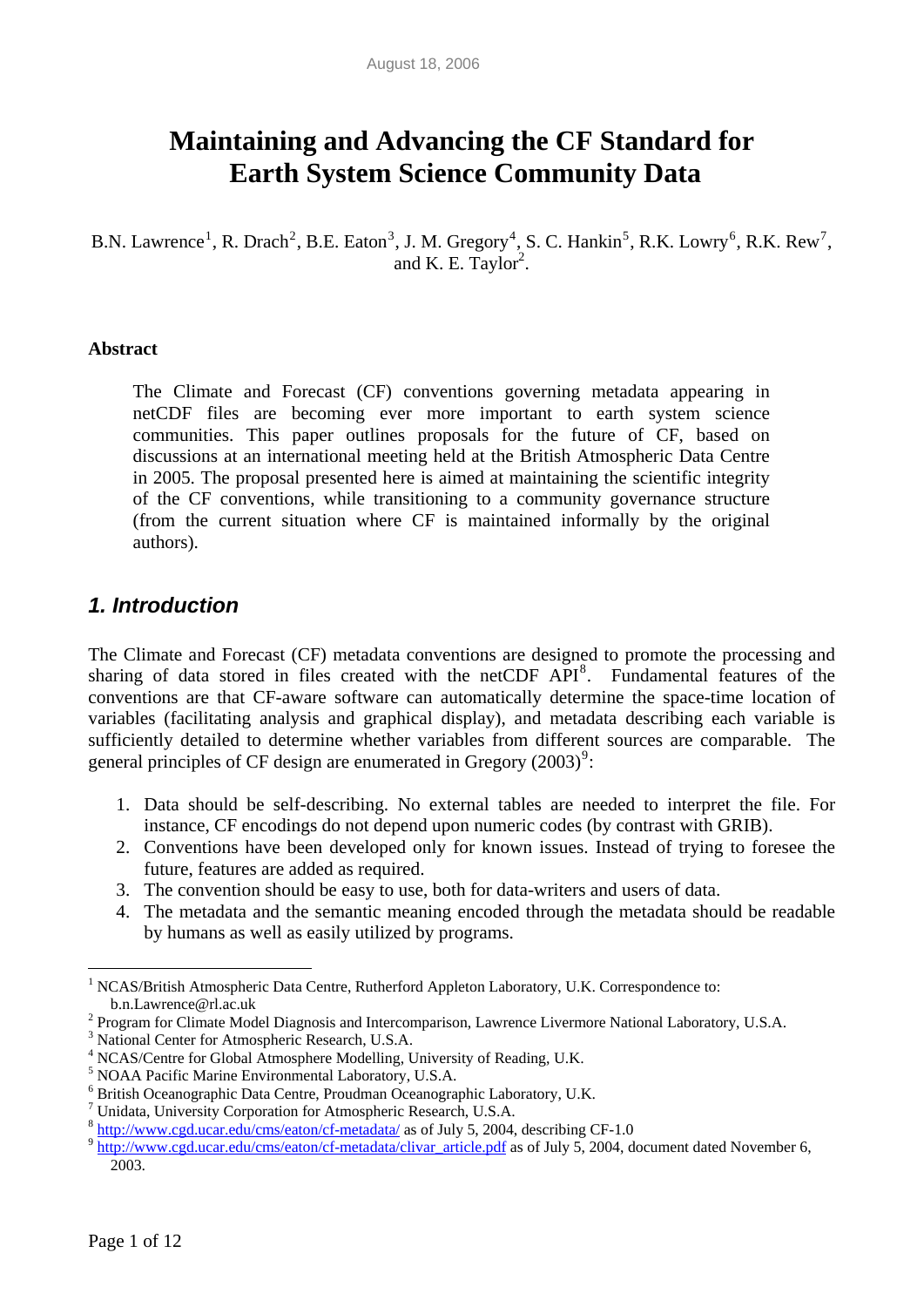# **Maintaining and Advancing the CF Standard for Earth System Science Community Data**

B.N. Lawrence<sup>[1](#page-0-0)</sup>, R. Drach<sup>[2](#page-0-1)</sup>, B.E. Eaton<sup>[3](#page-0-2)</sup>, J. M. Gregory<sup>[4](#page-0-3)</sup>, S. C. Hankin<sup>[5](#page-0-4)</sup>, R.K. Lowry<sup>[6](#page-0-5)</sup>, R.K. Rew<sup>[7](#page-0-6)</sup>, and K. E. Taylor<sup>2</sup>.

#### **Abstract**

The Climate and Forecast (CF) conventions governing metadata appearing in netCDF files are becoming ever more important to earth system science communities. This paper outlines proposals for the future of CF, based on discussions at an international meeting held at the British Atmospheric Data Centre in 2005. The proposal presented here is aimed at maintaining the scientific integrity of the CF conventions, while transitioning to a community governance structure (from the current situation where CF is maintained informally by the original authors).

### *1. Introduction*

The Climate and Forecast (CF) metadata conventions are designed to promote the processing and sharing of data stored in files created with the netCDF API<sup>[8](#page-0-7)</sup>. Fundamental features of the conventions are that CF-aware software can automatically determine the space-time location of variables (facilitating analysis and graphical display), and metadata describing each variable is sufficiently detailed to determine whether variables from different sources are comparable. The general principles of CF design are enumerated in Gregory  $(2003)^9$  $(2003)^9$ :

- 1. Data should be self-describing. No external tables are needed to interpret the file. For instance, CF encodings do not depend upon numeric codes (by contrast with GRIB).
- 2. Conventions have been developed only for known issues. Instead of trying to foresee the future, features are added as required.
- 3. The convention should be easy to use, both for data-writers and users of data.
- 4. The metadata and the semantic meaning encoded through the metadata should be readable by humans as well as easily utilized by programs.

 $\overline{a}$ 

<span id="page-0-0"></span><sup>&</sup>lt;sup>1</sup> NCAS/British Atmospheric Data Centre, Rutherford Appleton Laboratory, U.K. Correspondence to: b.n.Lawrence@rl.ac.uk 2

<span id="page-0-1"></span><sup>&</sup>lt;sup>2</sup> Program for Climate Model Diagnosis and Intercomparison, Lawrence Livermore National Laboratory, U.S.A.

<span id="page-0-2"></span><sup>3</sup> National Center for Atmospheric Research, U.S.A.

<sup>&</sup>lt;sup>4</sup> NCAS/Centre for Global Atmosphere Modelling, University of Reading, U.K.  $^5$  NOAA Reading Marine Environmental Lebentowy U.S.A.

<span id="page-0-4"></span><span id="page-0-3"></span><sup>&</sup>lt;sup>5</sup> NOAA Pacific Marine Environmental Laboratory, U.S.A.

<span id="page-0-5"></span> $^6$  British Oceanographic Data Centre, Proudman Oceanographic Laboratory, U.K.  $^7$  Unidata, University Corporation for Atmospheric Research, U.S.A.

<span id="page-0-8"></span><span id="page-0-7"></span><span id="page-0-6"></span> $\frac{8 \text{ http://www.cgd.ucar.edu/cms/eaton/cf-metadata/}}{8 \text{http://www.cgd.ucar.edu/cms/eaton/cf-metadata/aisar-futto.pdf}}$  as of July 5, 2004, describing CF-1.0 2003.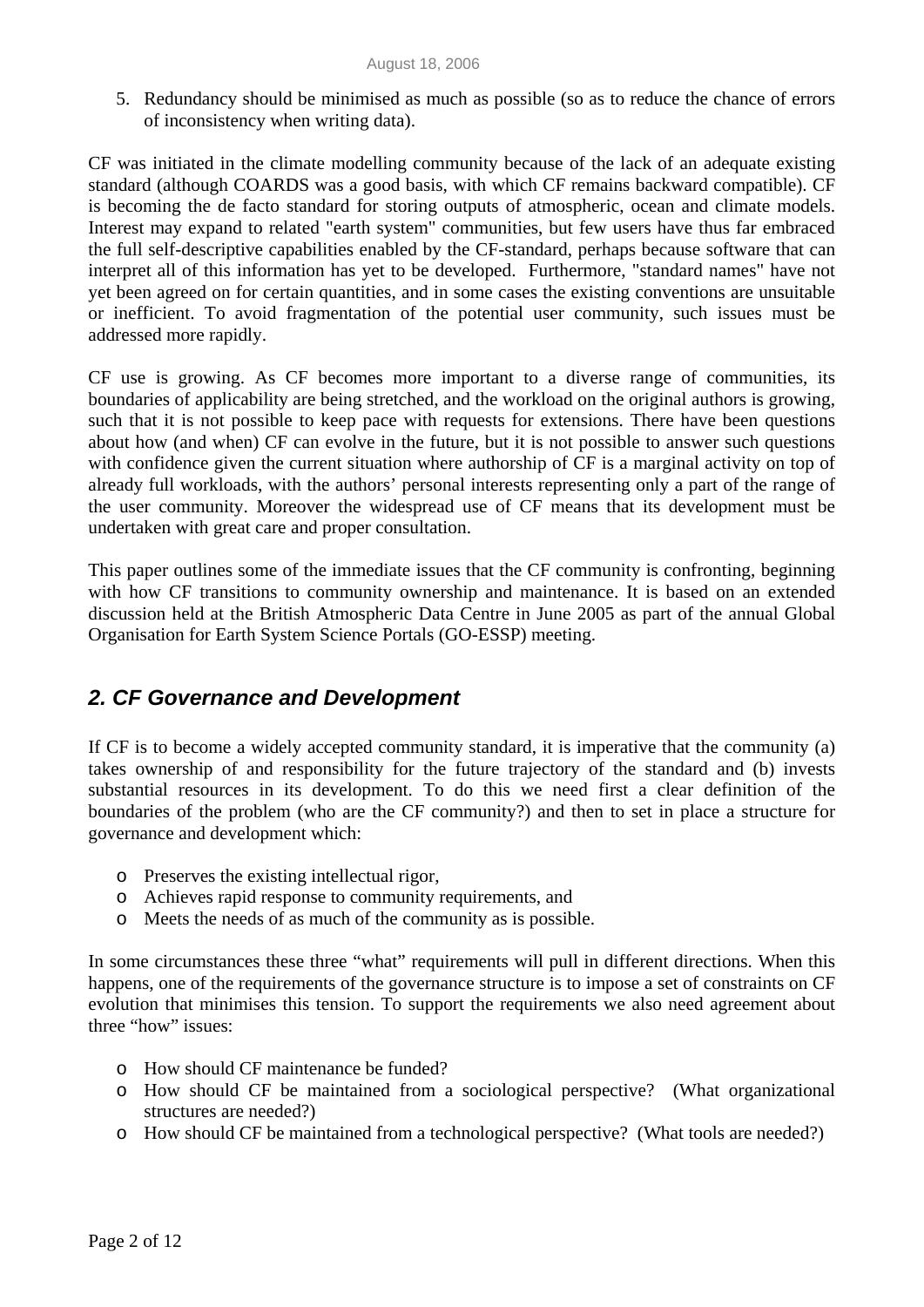5. Redundancy should be minimised as much as possible (so as to reduce the chance of errors of inconsistency when writing data).

CF was initiated in the climate modelling community because of the lack of an adequate existing standard (although COARDS was a good basis, with which CF remains backward compatible). CF is becoming the de facto standard for storing outputs of atmospheric, ocean and climate models. Interest may expand to related "earth system" communities, but few users have thus far embraced the full self-descriptive capabilities enabled by the CF-standard, perhaps because software that can interpret all of this information has yet to be developed. Furthermore, "standard names" have not yet been agreed on for certain quantities, and in some cases the existing conventions are unsuitable or inefficient. To avoid fragmentation of the potential user community, such issues must be addressed more rapidly.

CF use is growing. As CF becomes more important to a diverse range of communities, its boundaries of applicability are being stretched, and the workload on the original authors is growing, such that it is not possible to keep pace with requests for extensions. There have been questions about how (and when) CF can evolve in the future, but it is not possible to answer such questions with confidence given the current situation where authorship of CF is a marginal activity on top of already full workloads, with the authors' personal interests representing only a part of the range of the user community. Moreover the widespread use of CF means that its development must be undertaken with great care and proper consultation.

This paper outlines some of the immediate issues that the CF community is confronting, beginning with how CF transitions to community ownership and maintenance. It is based on an extended discussion held at the British Atmospheric Data Centre in June 2005 as part of the annual Global Organisation for Earth System Science Portals (GO-ESSP) meeting.

# *2. CF Governance and Development*

If CF is to become a widely accepted community standard, it is imperative that the community (a) takes ownership of and responsibility for the future trajectory of the standard and (b) invests substantial resources in its development. To do this we need first a clear definition of the boundaries of the problem (who are the CF community?) and then to set in place a structure for governance and development which:

- o Preserves the existing intellectual rigor,
- o Achieves rapid response to community requirements, and
- o Meets the needs of as much of the community as is possible.

In some circumstances these three "what" requirements will pull in different directions. When this happens, one of the requirements of the governance structure is to impose a set of constraints on CF evolution that minimises this tension. To support the requirements we also need agreement about three "how" issues:

- o How should CF maintenance be funded?
- o How should CF be maintained from a sociological perspective? (What organizational structures are needed?)
- o How should CF be maintained from a technological perspective? (What tools are needed?)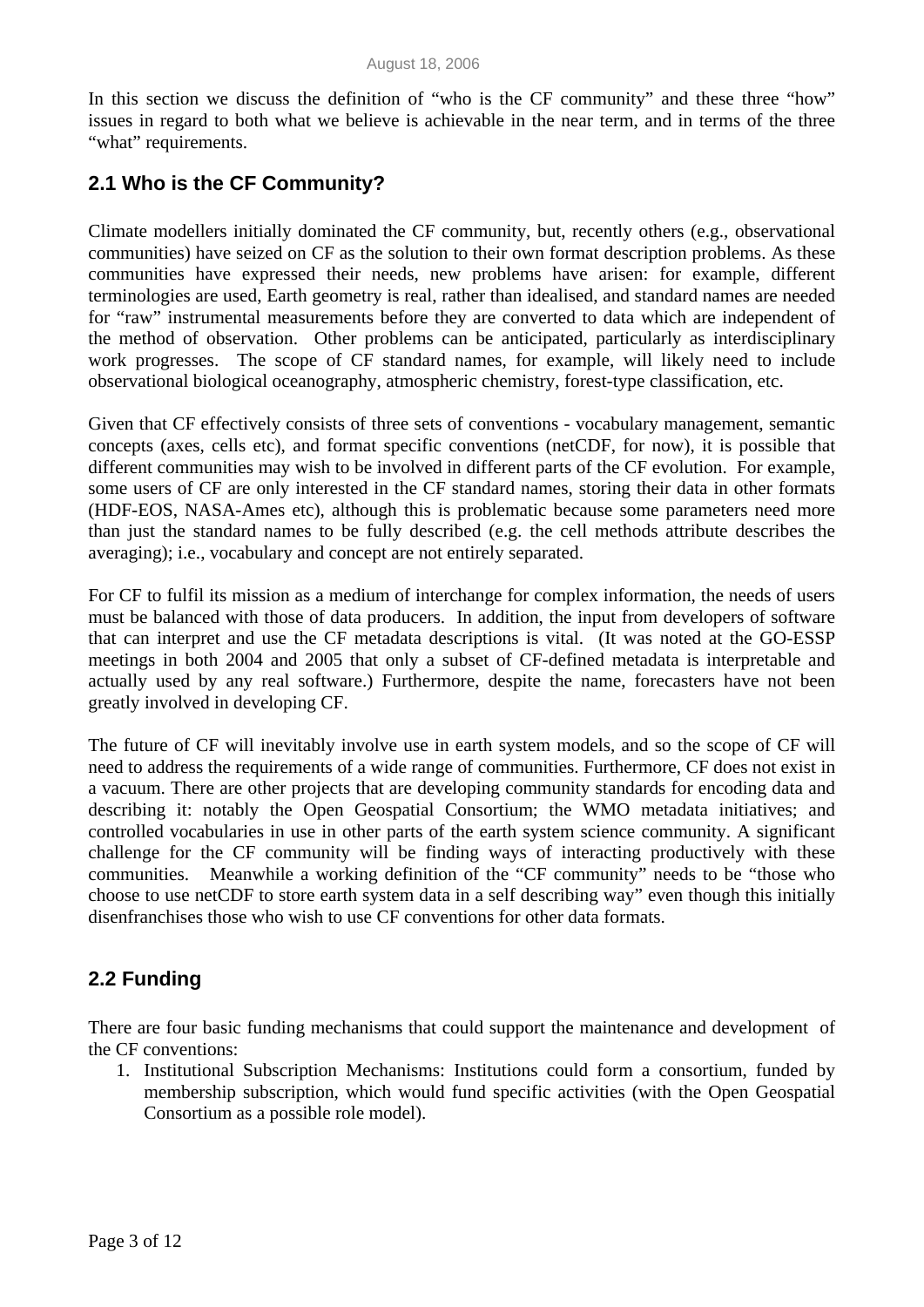In this section we discuss the definition of "who is the CF community" and these three "how" issues in regard to both what we believe is achievable in the near term, and in terms of the three "what" requirements.

# **2.1 Who is the CF Community?**

Climate modellers initially dominated the CF community, but, recently others (e.g., observational communities) have seized on CF as the solution to their own format description problems. As these communities have expressed their needs, new problems have arisen: for example, different terminologies are used, Earth geometry is real, rather than idealised, and standard names are needed for "raw" instrumental measurements before they are converted to data which are independent of the method of observation. Other problems can be anticipated, particularly as interdisciplinary work progresses. The scope of CF standard names, for example, will likely need to include observational biological oceanography, atmospheric chemistry, forest-type classification, etc.

Given that CF effectively consists of three sets of conventions - vocabulary management, semantic concepts (axes, cells etc), and format specific conventions (netCDF, for now), it is possible that different communities may wish to be involved in different parts of the CF evolution. For example, some users of CF are only interested in the CF standard names, storing their data in other formats (HDF-EOS, NASA-Ames etc), although this is problematic because some parameters need more than just the standard names to be fully described (e.g. the cell methods attribute describes the averaging); i.e., vocabulary and concept are not entirely separated.

For CF to fulfil its mission as a medium of interchange for complex information, the needs of users must be balanced with those of data producers. In addition, the input from developers of software that can interpret and use the CF metadata descriptions is vital. (It was noted at the GO-ESSP meetings in both 2004 and 2005 that only a subset of CF-defined metadata is interpretable and actually used by any real software.) Furthermore, despite the name, forecasters have not been greatly involved in developing CF.

The future of CF will inevitably involve use in earth system models, and so the scope of CF will need to address the requirements of a wide range of communities. Furthermore, CF does not exist in a vacuum. There are other projects that are developing community standards for encoding data and describing it: notably the Open Geospatial Consortium; the WMO metadata initiatives; and controlled vocabularies in use in other parts of the earth system science community. A significant challenge for the CF community will be finding ways of interacting productively with these communities. Meanwhile a working definition of the "CF community" needs to be "those who choose to use netCDF to store earth system data in a self describing way" even though this initially disenfranchises those who wish to use CF conventions for other data formats.

### **2.2 Funding**

There are four basic funding mechanisms that could support the maintenance and development of the CF conventions:

1. Institutional Subscription Mechanisms: Institutions could form a consortium, funded by membership subscription, which would fund specific activities (with the Open Geospatial Consortium as a possible role model).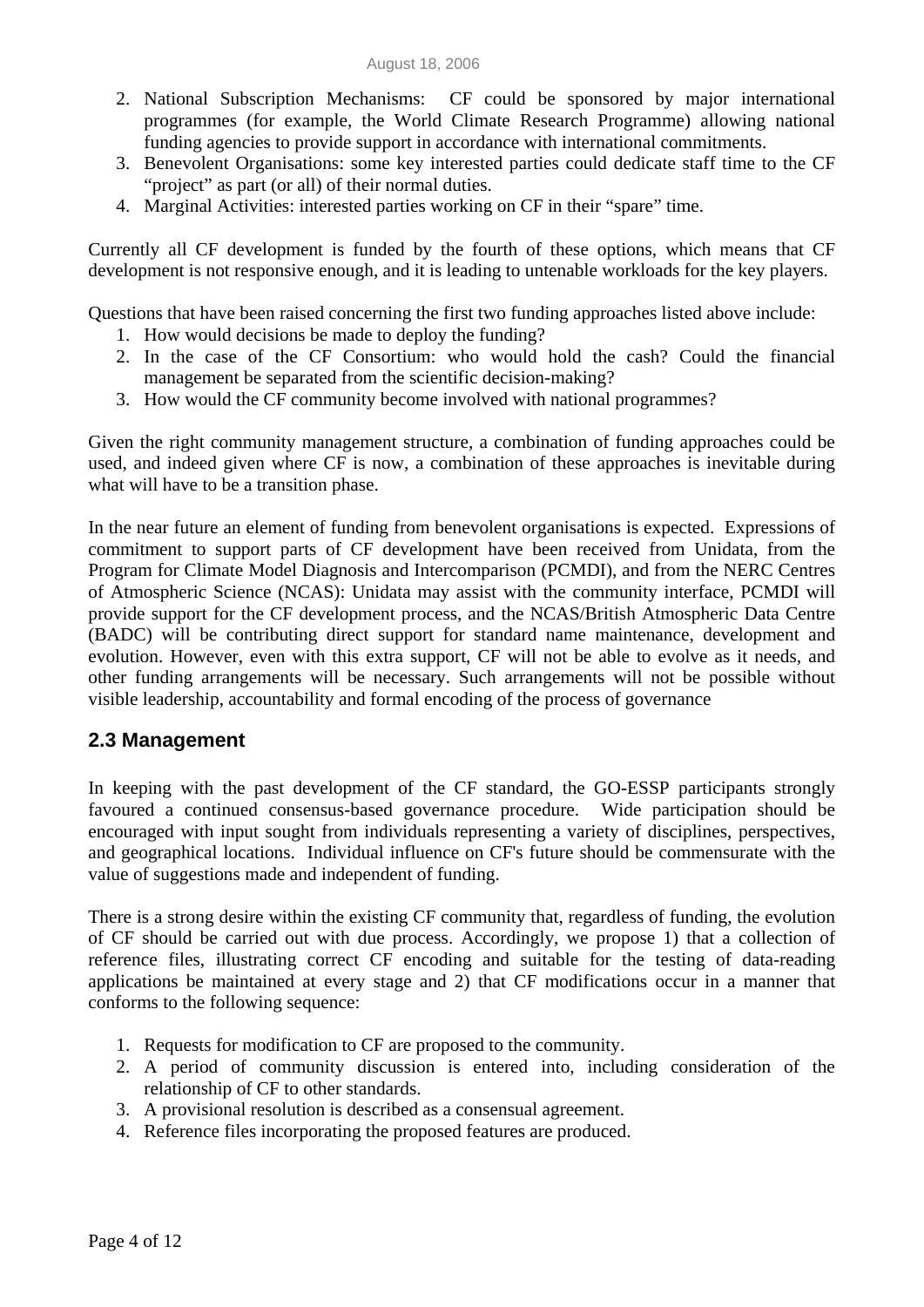- 2. National Subscription Mechanisms: CF could be sponsored by major international programmes (for example, the World Climate Research Programme) allowing national funding agencies to provide support in accordance with international commitments.
- 3. Benevolent Organisations: some key interested parties could dedicate staff time to the CF "project" as part (or all) of their normal duties.
- 4. Marginal Activities: interested parties working on CF in their "spare" time.

Currently all CF development is funded by the fourth of these options, which means that CF development is not responsive enough, and it is leading to untenable workloads for the key players.

Questions that have been raised concerning the first two funding approaches listed above include:

- 1. How would decisions be made to deploy the funding?
- 2. In the case of the CF Consortium: who would hold the cash? Could the financial management be separated from the scientific decision-making?
- 3. How would the CF community become involved with national programmes?

Given the right community management structure, a combination of funding approaches could be used, and indeed given where CF is now, a combination of these approaches is inevitable during what will have to be a transition phase.

In the near future an element of funding from benevolent organisations is expected. Expressions of commitment to support parts of CF development have been received from Unidata, from the Program for Climate Model Diagnosis and Intercomparison (PCMDI), and from the NERC Centres of Atmospheric Science (NCAS): Unidata may assist with the community interface, PCMDI will provide support for the CF development process, and the NCAS/British Atmospheric Data Centre (BADC) will be contributing direct support for standard name maintenance, development and evolution. However, even with this extra support, CF will not be able to evolve as it needs, and other funding arrangements will be necessary. Such arrangements will not be possible without visible leadership, accountability and formal encoding of the process of governance

### **2.3 Management**

In keeping with the past development of the CF standard, the GO-ESSP participants strongly favoured a continued consensus-based governance procedure. Wide participation should be encouraged with input sought from individuals representing a variety of disciplines, perspectives, and geographical locations. Individual influence on CF's future should be commensurate with the value of suggestions made and independent of funding.

There is a strong desire within the existing CF community that, regardless of funding, the evolution of CF should be carried out with due process. Accordingly, we propose 1) that a collection of reference files, illustrating correct CF encoding and suitable for the testing of data-reading applications be maintained at every stage and 2) that CF modifications occur in a manner that conforms to the following sequence:

- 1. Requests for modification to CF are proposed to the community.
- 2. A period of community discussion is entered into, including consideration of the relationship of CF to other standards.
- 3. A provisional resolution is described as a consensual agreement.
- 4. Reference files incorporating the proposed features are produced.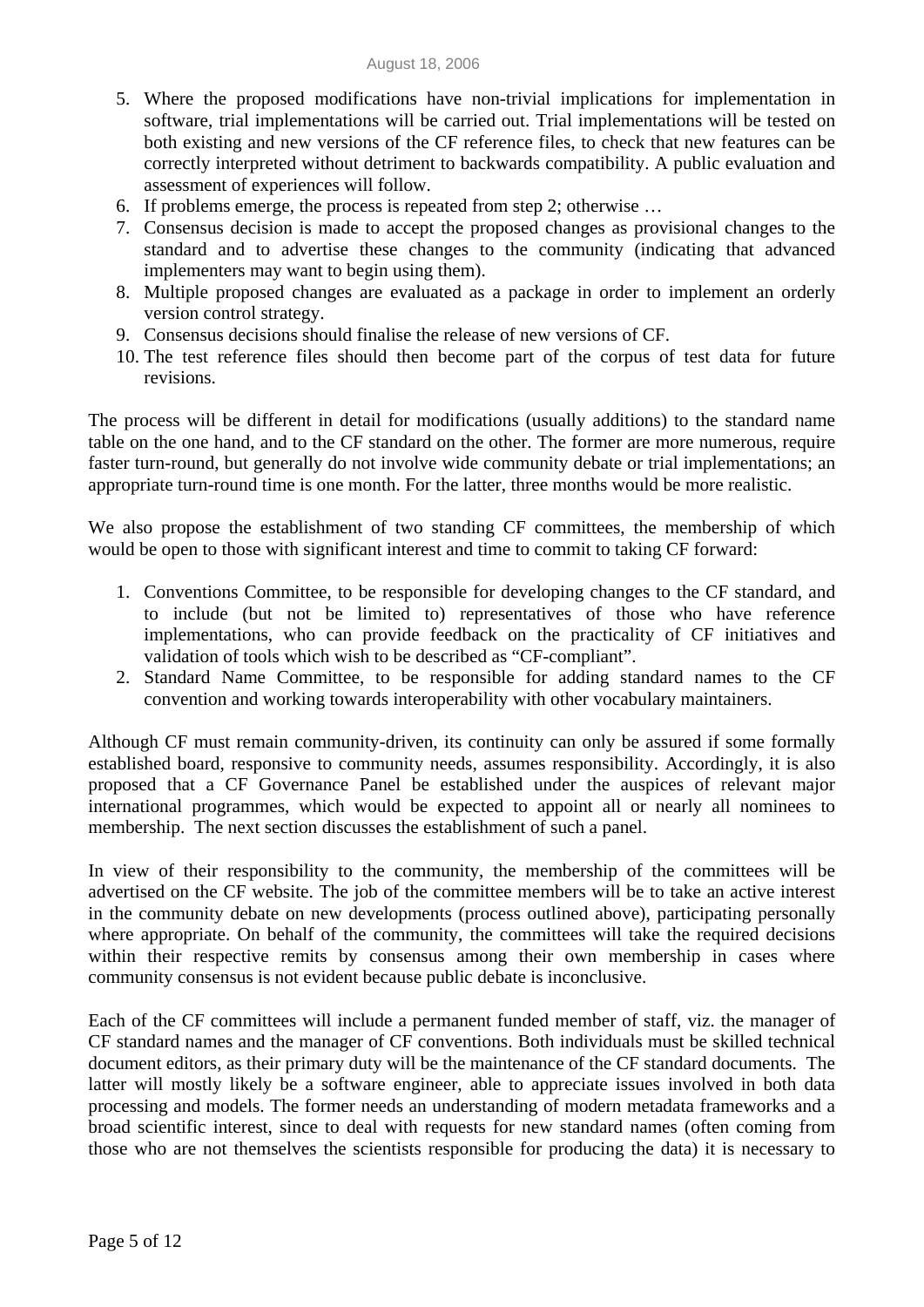- 5. Where the proposed modifications have non-trivial implications for implementation in software, trial implementations will be carried out. Trial implementations will be tested on both existing and new versions of the CF reference files, to check that new features can be correctly interpreted without detriment to backwards compatibility. A public evaluation and assessment of experiences will follow.
- 6. If problems emerge, the process is repeated from step 2; otherwise …
- 7. Consensus decision is made to accept the proposed changes as provisional changes to the standard and to advertise these changes to the community (indicating that advanced implementers may want to begin using them).
- 8. Multiple proposed changes are evaluated as a package in order to implement an orderly version control strategy.
- 9. Consensus decisions should finalise the release of new versions of CF.
- 10. The test reference files should then become part of the corpus of test data for future revisions.

The process will be different in detail for modifications (usually additions) to the standard name table on the one hand, and to the CF standard on the other. The former are more numerous, require faster turn-round, but generally do not involve wide community debate or trial implementations; an appropriate turn-round time is one month. For the latter, three months would be more realistic.

We also propose the establishment of two standing CF committees, the membership of which would be open to those with significant interest and time to commit to taking CF forward:

- 1. Conventions Committee, to be responsible for developing changes to the CF standard, and to include (but not be limited to) representatives of those who have reference implementations, who can provide feedback on the practicality of CF initiatives and validation of tools which wish to be described as "CF-compliant".
- 2. Standard Name Committee, to be responsible for adding standard names to the CF convention and working towards interoperability with other vocabulary maintainers.

Although CF must remain community-driven, its continuity can only be assured if some formally established board, responsive to community needs, assumes responsibility. Accordingly, it is also proposed that a CF Governance Panel be established under the auspices of relevant major international programmes, which would be expected to appoint all or nearly all nominees to membership. The next section discusses the establishment of such a panel.

In view of their responsibility to the community, the membership of the committees will be advertised on the CF website. The job of the committee members will be to take an active interest in the community debate on new developments (process outlined above), participating personally where appropriate. On behalf of the community, the committees will take the required decisions within their respective remits by consensus among their own membership in cases where community consensus is not evident because public debate is inconclusive.

Each of the CF committees will include a permanent funded member of staff, viz. the manager of CF standard names and the manager of CF conventions. Both individuals must be skilled technical document editors, as their primary duty will be the maintenance of the CF standard documents. The latter will mostly likely be a software engineer, able to appreciate issues involved in both data processing and models. The former needs an understanding of modern metadata frameworks and a broad scientific interest, since to deal with requests for new standard names (often coming from those who are not themselves the scientists responsible for producing the data) it is necessary to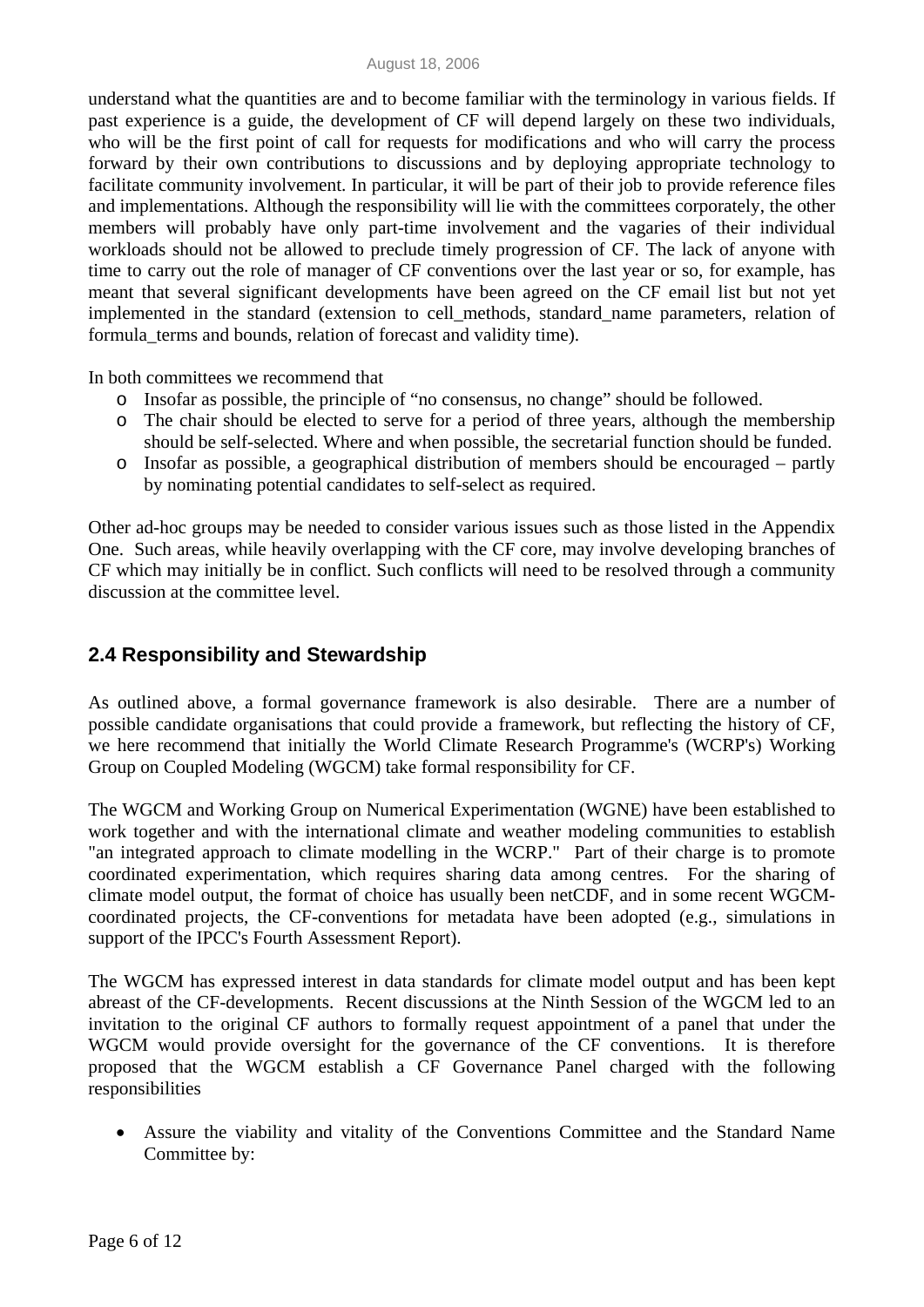understand what the quantities are and to become familiar with the terminology in various fields. If past experience is a guide, the development of CF will depend largely on these two individuals, who will be the first point of call for requests for modifications and who will carry the process forward by their own contributions to discussions and by deploying appropriate technology to facilitate community involvement. In particular, it will be part of their job to provide reference files and implementations. Although the responsibility will lie with the committees corporately, the other members will probably have only part-time involvement and the vagaries of their individual workloads should not be allowed to preclude timely progression of CF. The lack of anyone with time to carry out the role of manager of CF conventions over the last year or so, for example, has meant that several significant developments have been agreed on the CF email list but not yet implemented in the standard (extension to cell\_methods, standard\_name parameters, relation of formula\_terms and bounds, relation of forecast and validity time).

In both committees we recommend that

- o Insofar as possible, the principle of "no consensus, no change" should be followed.
- o The chair should be elected to serve for a period of three years, although the membership should be self-selected. Where and when possible, the secretarial function should be funded.
- o Insofar as possible, a geographical distribution of members should be encouraged partly by nominating potential candidates to self-select as required.

Other ad-hoc groups may be needed to consider various issues such as those listed in the Appendix One. Such areas, while heavily overlapping with the CF core, may involve developing branches of CF which may initially be in conflict. Such conflicts will need to be resolved through a community discussion at the committee level.

### **2.4 Responsibility and Stewardship**

As outlined above, a formal governance framework is also desirable. There are a number of possible candidate organisations that could provide a framework, but reflecting the history of CF, we here recommend that initially the World Climate Research Programme's (WCRP's) Working Group on Coupled Modeling (WGCM) take formal responsibility for CF.

The WGCM and Working Group on Numerical Experimentation (WGNE) have been established to work together and with the international climate and weather modeling communities to establish "an integrated approach to climate modelling in the WCRP." Part of their charge is to promote coordinated experimentation, which requires sharing data among centres. For the sharing of climate model output, the format of choice has usually been netCDF, and in some recent WGCMcoordinated projects, the CF-conventions for metadata have been adopted (e.g., simulations in support of the IPCC's Fourth Assessment Report).

The WGCM has expressed interest in data standards for climate model output and has been kept abreast of the CF-developments. Recent discussions at the Ninth Session of the WGCM led to an invitation to the original CF authors to formally request appointment of a panel that under the WGCM would provide oversight for the governance of the CF conventions. It is therefore proposed that the WGCM establish a CF Governance Panel charged with the following responsibilities

• Assure the viability and vitality of the Conventions Committee and the Standard Name Committee by: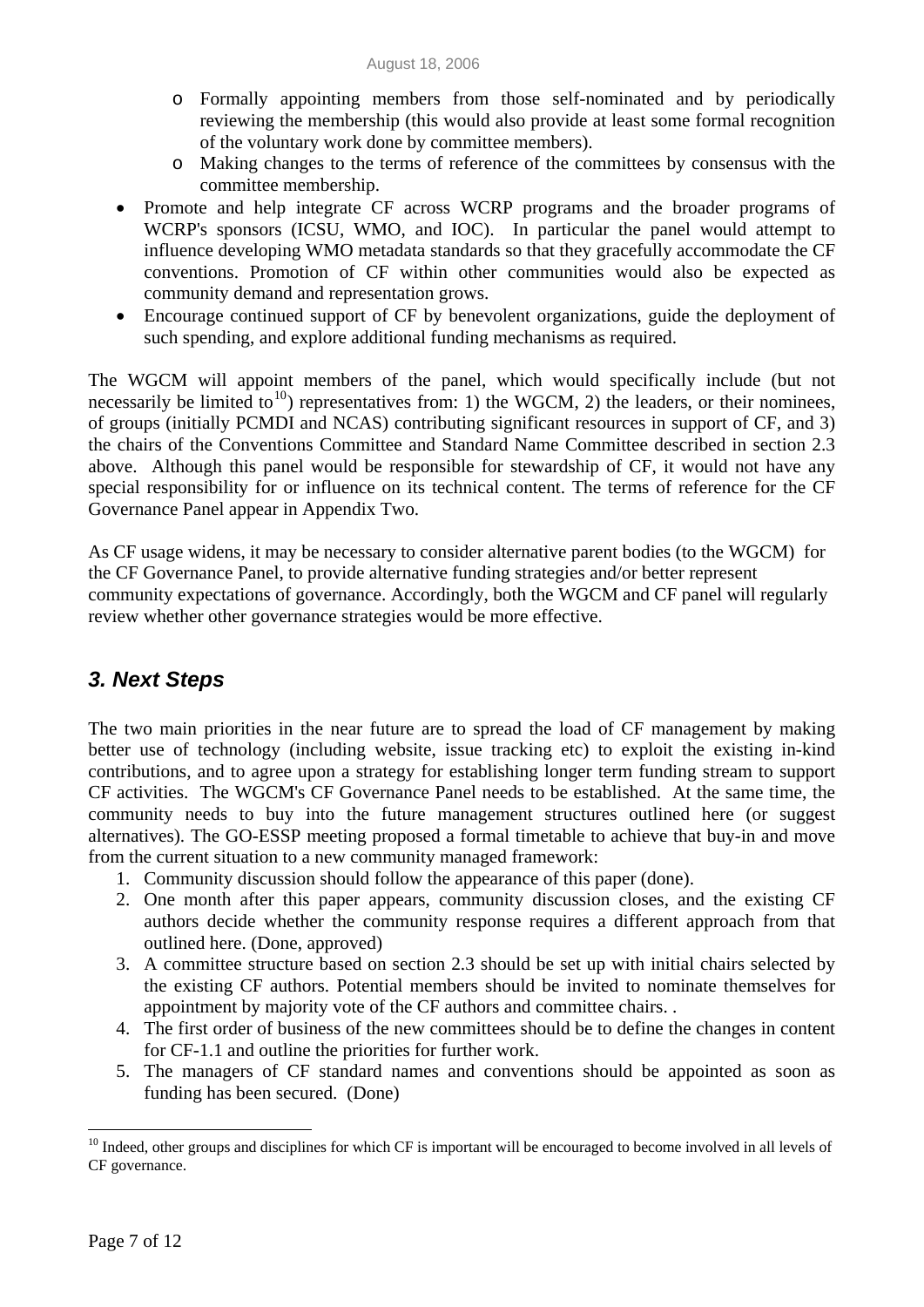- o Formally appointing members from those self-nominated and by periodically reviewing the membership (this would also provide at least some formal recognition of the voluntary work done by committee members).
- o Making changes to the terms of reference of the committees by consensus with the committee membership.
- Promote and help integrate CF across WCRP programs and the broader programs of WCRP's sponsors (ICSU, WMO, and IOC). In particular the panel would attempt to influence developing WMO metadata standards so that they gracefully accommodate the CF conventions. Promotion of CF within other communities would also be expected as community demand and representation grows.
- Encourage continued support of CF by benevolent organizations, guide the deployment of such spending, and explore additional funding mechanisms as required.

The WGCM will appoint members of the panel, which would specifically include (but not necessarily be limited to<sup>[10](#page-6-0)</sup>) representatives from: 1) the WGCM, 2) the leaders, or their nominees, of groups (initially PCMDI and NCAS) contributing significant resources in support of CF, and 3) the chairs of the Conventions Committee and Standard Name Committee described in section 2.3 above. Although this panel would be responsible for stewardship of CF, it would not have any special responsibility for or influence on its technical content. The terms of reference for the CF Governance Panel appear in Appendix Two.

As CF usage widens, it may be necessary to consider alternative parent bodies (to the WGCM) for the CF Governance Panel, to provide alternative funding strategies and/or better represent community expectations of governance. Accordingly, both the WGCM and CF panel will regularly review whether other governance strategies would be more effective.

# *3. Next Steps*

The two main priorities in the near future are to spread the load of CF management by making better use of technology (including website, issue tracking etc) to exploit the existing in-kind contributions, and to agree upon a strategy for establishing longer term funding stream to support CF activities. The WGCM's CF Governance Panel needs to be established. At the same time, the community needs to buy into the future management structures outlined here (or suggest alternatives). The GO-ESSP meeting proposed a formal timetable to achieve that buy-in and move from the current situation to a new community managed framework:

- 1. Community discussion should follow the appearance of this paper (done).
- 2. One month after this paper appears, community discussion closes, and the existing CF authors decide whether the community response requires a different approach from that outlined here. (Done, approved)
- 3. A committee structure based on section 2.3 should be set up with initial chairs selected by the existing CF authors. Potential members should be invited to nominate themselves for appointment by majority vote of the CF authors and committee chairs. .
- 4. The first order of business of the new committees should be to define the changes in content for CF-1.1 and outline the priorities for further work.
- 5. The managers of CF standard names and conventions should be appointed as soon as funding has been secured. (Done)

 $\overline{a}$ 

<span id="page-6-0"></span> $10$  Indeed, other groups and disciplines for which CF is important will be encouraged to become involved in all levels of CF governance.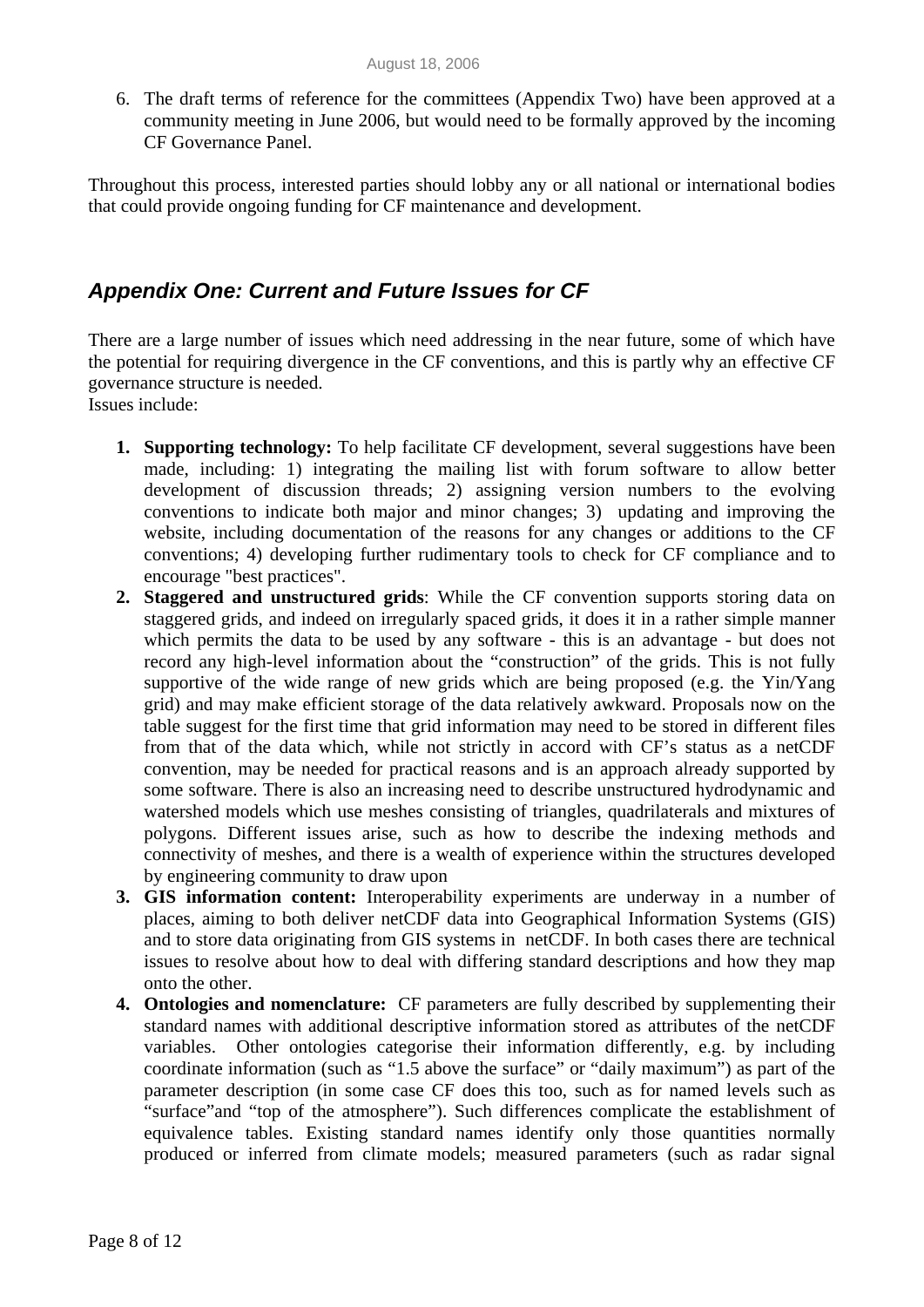6. The draft terms of reference for the committees (Appendix Two) have been approved at a community meeting in June 2006, but would need to be formally approved by the incoming CF Governance Panel.

Throughout this process, interested parties should lobby any or all national or international bodies that could provide ongoing funding for CF maintenance and development.

### *Appendix One: Current and Future Issues for CF*

There are a large number of issues which need addressing in the near future, some of which have the potential for requiring divergence in the CF conventions, and this is partly why an effective CF governance structure is needed.

Issues include:

- **1. Supporting technology:** To help facilitate CF development, several suggestions have been made, including: 1) integrating the mailing list with forum software to allow better development of discussion threads; 2) assigning version numbers to the evolving conventions to indicate both major and minor changes; 3) updating and improving the website, including documentation of the reasons for any changes or additions to the CF conventions; 4) developing further rudimentary tools to check for CF compliance and to encourage "best practices".
- **2. Staggered and unstructured grids**: While the CF convention supports storing data on staggered grids, and indeed on irregularly spaced grids, it does it in a rather simple manner which permits the data to be used by any software - this is an advantage - but does not record any high-level information about the "construction" of the grids. This is not fully supportive of the wide range of new grids which are being proposed (e.g. the Yin/Yang grid) and may make efficient storage of the data relatively awkward. Proposals now on the table suggest for the first time that grid information may need to be stored in different files from that of the data which, while not strictly in accord with CF's status as a netCDF convention, may be needed for practical reasons and is an approach already supported by some software. There is also an increasing need to describe unstructured hydrodynamic and watershed models which use meshes consisting of triangles, quadrilaterals and mixtures of polygons. Different issues arise, such as how to describe the indexing methods and connectivity of meshes, and there is a wealth of experience within the structures developed by engineering community to draw upon
- **3. GIS information content:** Interoperability experiments are underway in a number of places, aiming to both deliver netCDF data into Geographical Information Systems (GIS) and to store data originating from GIS systems in netCDF. In both cases there are technical issues to resolve about how to deal with differing standard descriptions and how they map onto the other.
- **4. Ontologies and nomenclature:** CF parameters are fully described by supplementing their standard names with additional descriptive information stored as attributes of the netCDF variables.Other ontologies categorise their information differently, e.g. by including coordinate information (such as "1.5 above the surface" or "daily maximum") as part of the parameter description (in some case CF does this too, such as for named levels such as "surface"and "top of the atmosphere"). Such differences complicate the establishment of equivalence tables. Existing standard names identify only those quantities normally produced or inferred from climate models; measured parameters (such as radar signal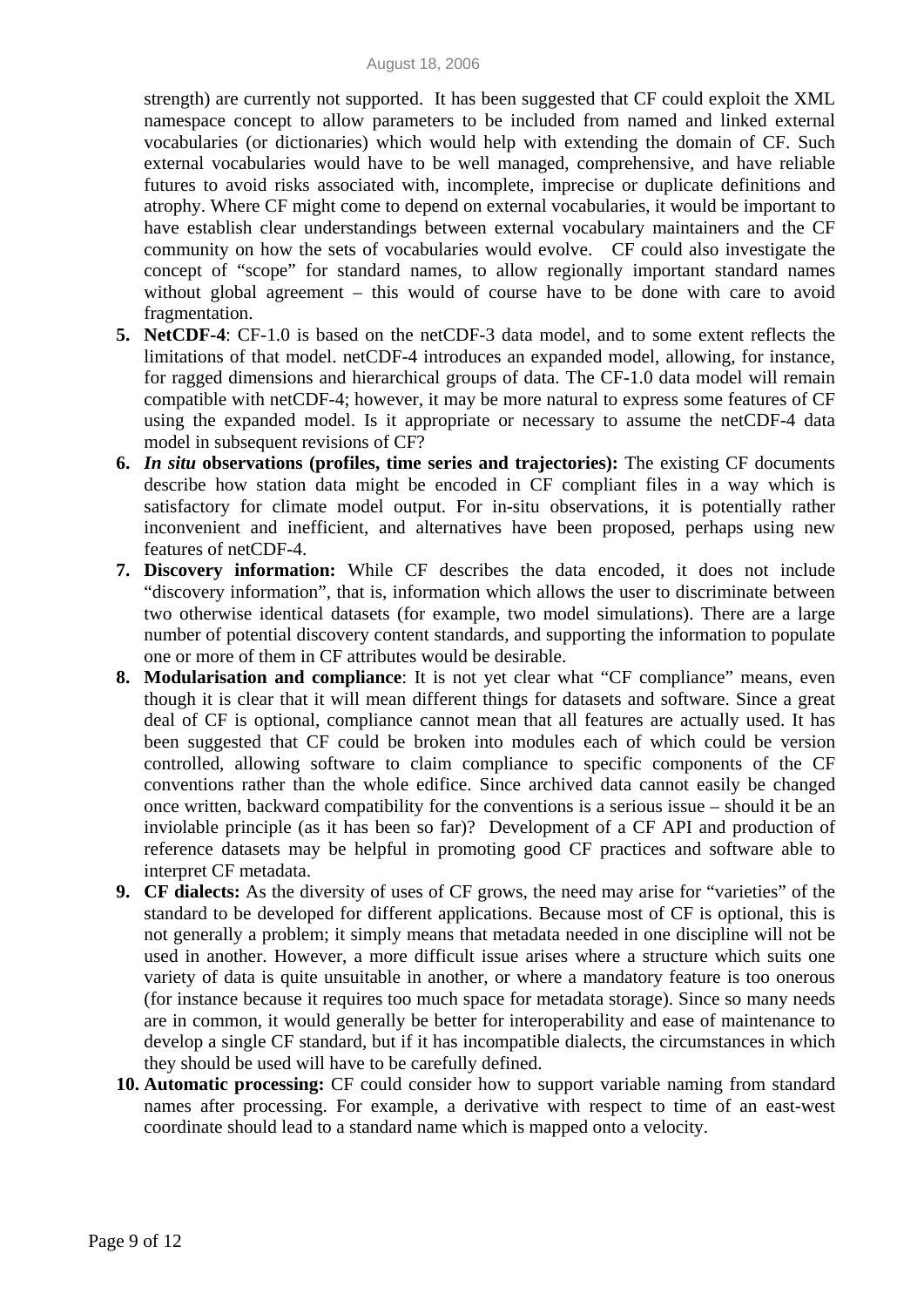strength) are currently not supported. It has been suggested that CF could exploit the XML namespace concept to allow parameters to be included from named and linked external vocabularies (or dictionaries) which would help with extending the domain of CF. Such external vocabularies would have to be well managed, comprehensive, and have reliable futures to avoid risks associated with, incomplete, imprecise or duplicate definitions and atrophy. Where CF might come to depend on external vocabularies, it would be important to have establish clear understandings between external vocabulary maintainers and the CF community on how the sets of vocabularies would evolve. CF could also investigate the concept of "scope" for standard names, to allow regionally important standard names without global agreement – this would of course have to be done with care to avoid fragmentation.

- **5. NetCDF-4**: CF-1.0 is based on the netCDF-3 data model, and to some extent reflects the limitations of that model. netCDF-4 introduces an expanded model, allowing, for instance, for ragged dimensions and hierarchical groups of data. The CF-1.0 data model will remain compatible with netCDF-4; however, it may be more natural to express some features of CF using the expanded model. Is it appropriate or necessary to assume the netCDF-4 data model in subsequent revisions of CF?
- **6.** *In situ* **observations (profiles, time series and trajectories):** The existing CF documents describe how station data might be encoded in CF compliant files in a way which is satisfactory for climate model output. For in-situ observations, it is potentially rather inconvenient and inefficient, and alternatives have been proposed, perhaps using new features of netCDF-4.
- **7. Discovery information:** While CF describes the data encoded, it does not include "discovery information", that is, information which allows the user to discriminate between two otherwise identical datasets (for example, two model simulations). There are a large number of potential discovery content standards, and supporting the information to populate one or more of them in CF attributes would be desirable.
- **8. Modularisation and compliance**: It is not yet clear what "CF compliance" means, even though it is clear that it will mean different things for datasets and software. Since a great deal of CF is optional, compliance cannot mean that all features are actually used. It has been suggested that CF could be broken into modules each of which could be version controlled, allowing software to claim compliance to specific components of the CF conventions rather than the whole edifice. Since archived data cannot easily be changed once written, backward compatibility for the conventions is a serious issue – should it be an inviolable principle (as it has been so far)? Development of a CF API and production of reference datasets may be helpful in promoting good CF practices and software able to interpret CF metadata.
- **9. CF dialects:** As the diversity of uses of CF grows, the need may arise for "varieties" of the standard to be developed for different applications. Because most of CF is optional, this is not generally a problem; it simply means that metadata needed in one discipline will not be used in another. However, a more difficult issue arises where a structure which suits one variety of data is quite unsuitable in another, or where a mandatory feature is too onerous (for instance because it requires too much space for metadata storage). Since so many needs are in common, it would generally be better for interoperability and ease of maintenance to develop a single CF standard, but if it has incompatible dialects, the circumstances in which they should be used will have to be carefully defined.
- **10. Automatic processing:** CF could consider how to support variable naming from standard names after processing. For example, a derivative with respect to time of an east-west coordinate should lead to a standard name which is mapped onto a velocity.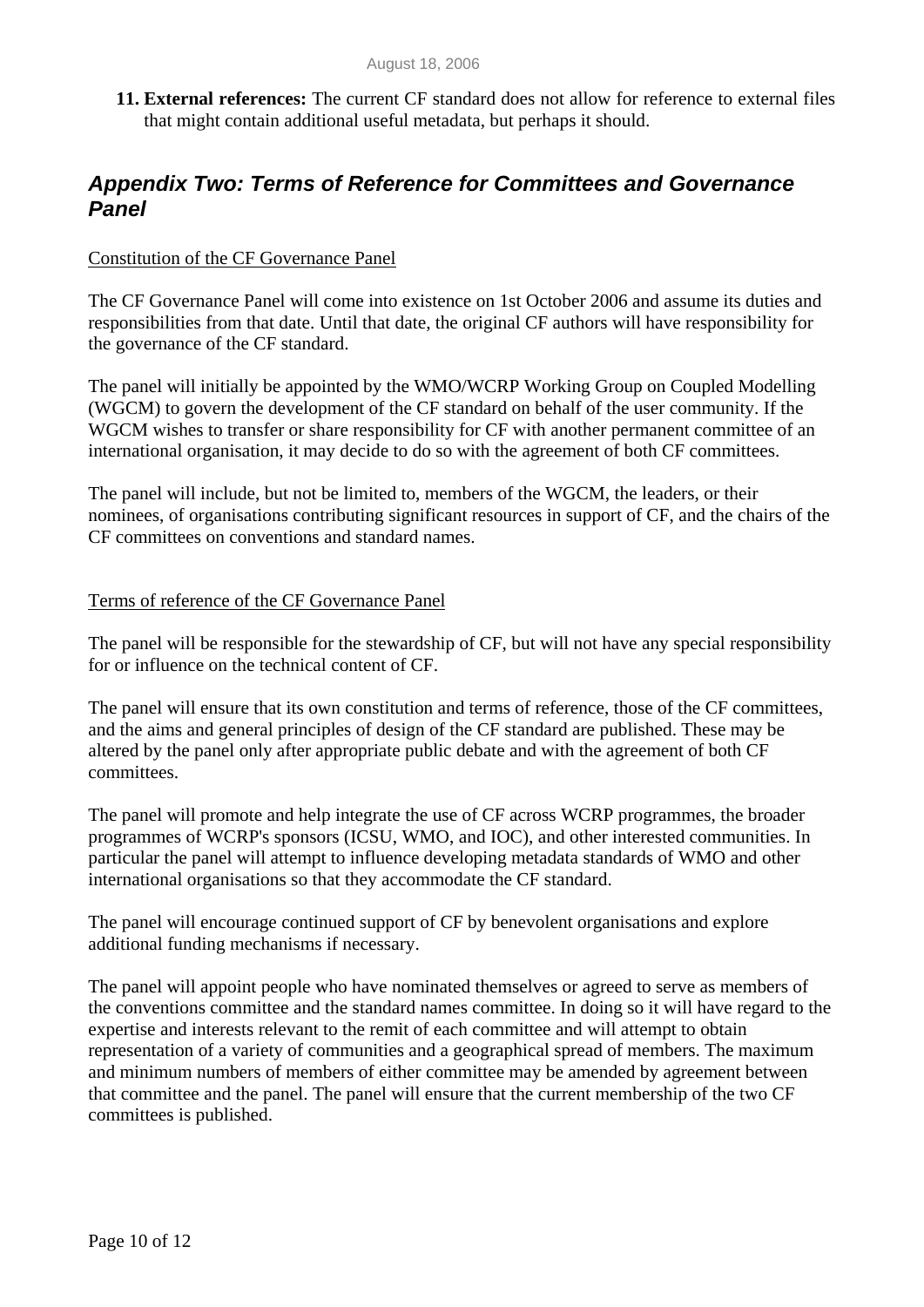**11. External references:** The current CF standard does not allow for reference to external files that might contain additional useful metadata, but perhaps it should.

### *Appendix Two: Terms of Reference for Committees and Governance Panel*

#### Constitution of the CF Governance Panel

The CF Governance Panel will come into existence on 1st October 2006 and assume its duties and responsibilities from that date. Until that date, the original CF authors will have responsibility for the governance of the CF standard.

The panel will initially be appointed by the WMO/WCRP Working Group on Coupled Modelling (WGCM) to govern the development of the CF standard on behalf of the user community. If the WGCM wishes to transfer or share responsibility for CF with another permanent committee of an international organisation, it may decide to do so with the agreement of both CF committees.

The panel will include, but not be limited to, members of the WGCM, the leaders, or their nominees, of organisations contributing significant resources in support of CF, and the chairs of the CF committees on conventions and standard names.

#### Terms of reference of the CF Governance Panel

The panel will be responsible for the stewardship of CF, but will not have any special responsibility for or influence on the technical content of CF.

The panel will ensure that its own constitution and terms of reference, those of the CF committees, and the aims and general principles of design of the CF standard are published. These may be altered by the panel only after appropriate public debate and with the agreement of both CF committees.

The panel will promote and help integrate the use of CF across WCRP programmes, the broader programmes of WCRP's sponsors (ICSU, WMO, and IOC), and other interested communities. In particular the panel will attempt to influence developing metadata standards of WMO and other international organisations so that they accommodate the CF standard.

The panel will encourage continued support of CF by benevolent organisations and explore additional funding mechanisms if necessary.

The panel will appoint people who have nominated themselves or agreed to serve as members of the conventions committee and the standard names committee. In doing so it will have regard to the expertise and interests relevant to the remit of each committee and will attempt to obtain representation of a variety of communities and a geographical spread of members. The maximum and minimum numbers of members of either committee may be amended by agreement between that committee and the panel. The panel will ensure that the current membership of the two CF committees is published.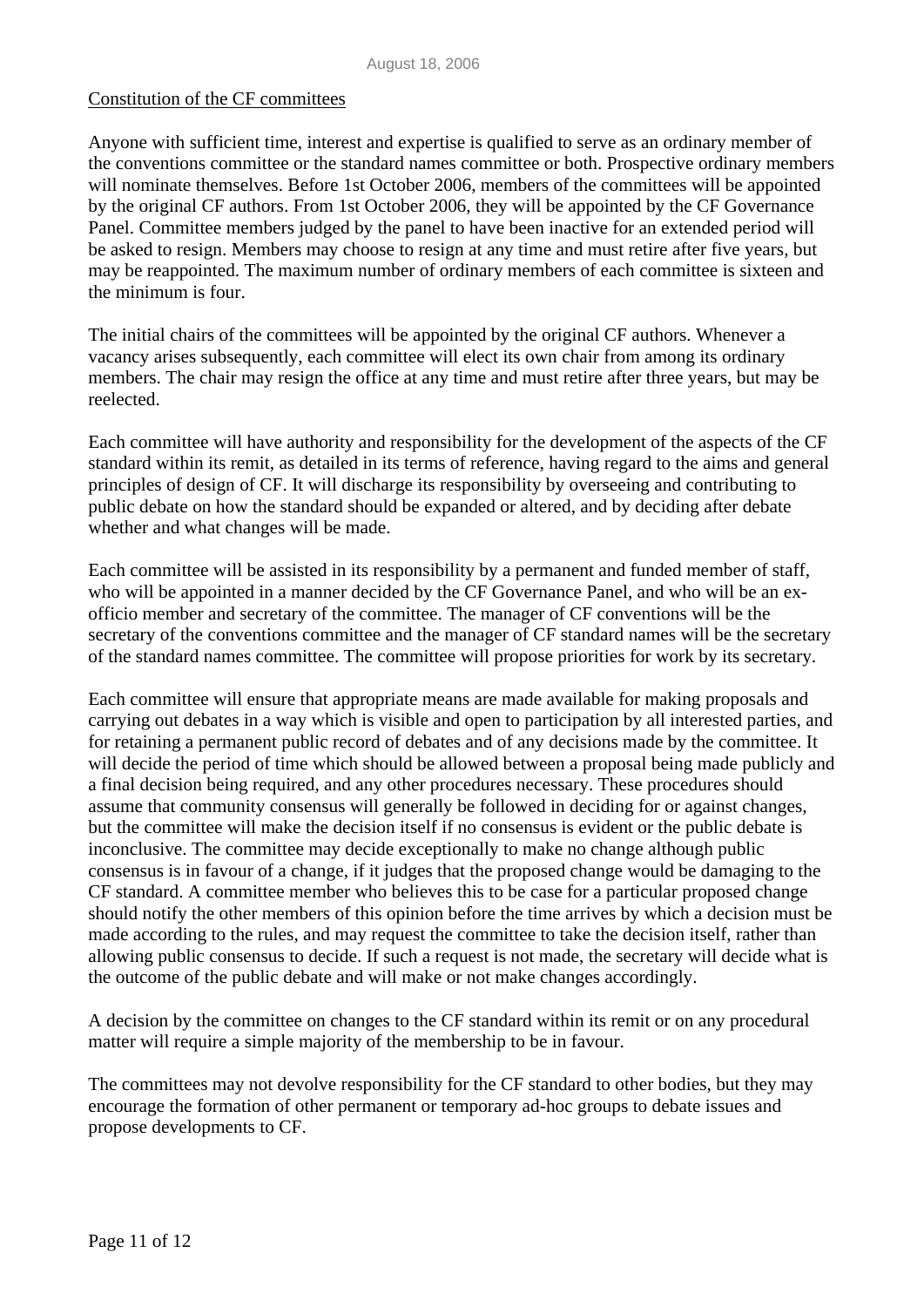#### Constitution of the CF committees

Anyone with sufficient time, interest and expertise is qualified to serve as an ordinary member of the conventions committee or the standard names committee or both. Prospective ordinary members will nominate themselves. Before 1st October 2006, members of the committees will be appointed by the original CF authors. From 1st October 2006, they will be appointed by the CF Governance Panel. Committee members judged by the panel to have been inactive for an extended period will be asked to resign. Members may choose to resign at any time and must retire after five years, but may be reappointed. The maximum number of ordinary members of each committee is sixteen and the minimum is four.

The initial chairs of the committees will be appointed by the original CF authors. Whenever a vacancy arises subsequently, each committee will elect its own chair from among its ordinary members. The chair may resign the office at any time and must retire after three years, but may be reelected.

Each committee will have authority and responsibility for the development of the aspects of the CF standard within its remit, as detailed in its terms of reference, having regard to the aims and general principles of design of CF. It will discharge its responsibility by overseeing and contributing to public debate on how the standard should be expanded or altered, and by deciding after debate whether and what changes will be made.

Each committee will be assisted in its responsibility by a permanent and funded member of staff, who will be appointed in a manner decided by the CF Governance Panel, and who will be an exofficio member and secretary of the committee. The manager of CF conventions will be the secretary of the conventions committee and the manager of CF standard names will be the secretary of the standard names committee. The committee will propose priorities for work by its secretary.

Each committee will ensure that appropriate means are made available for making proposals and carrying out debates in a way which is visible and open to participation by all interested parties, and for retaining a permanent public record of debates and of any decisions made by the committee. It will decide the period of time which should be allowed between a proposal being made publicly and a final decision being required, and any other procedures necessary. These procedures should assume that community consensus will generally be followed in deciding for or against changes, but the committee will make the decision itself if no consensus is evident or the public debate is inconclusive. The committee may decide exceptionally to make no change although public consensus is in favour of a change, if it judges that the proposed change would be damaging to the CF standard. A committee member who believes this to be case for a particular proposed change should notify the other members of this opinion before the time arrives by which a decision must be made according to the rules, and may request the committee to take the decision itself, rather than allowing public consensus to decide. If such a request is not made, the secretary will decide what is the outcome of the public debate and will make or not make changes accordingly.

A decision by the committee on changes to the CF standard within its remit or on any procedural matter will require a simple majority of the membership to be in favour.

The committees may not devolve responsibility for the CF standard to other bodies, but they may encourage the formation of other permanent or temporary ad-hoc groups to debate issues and propose developments to CF.